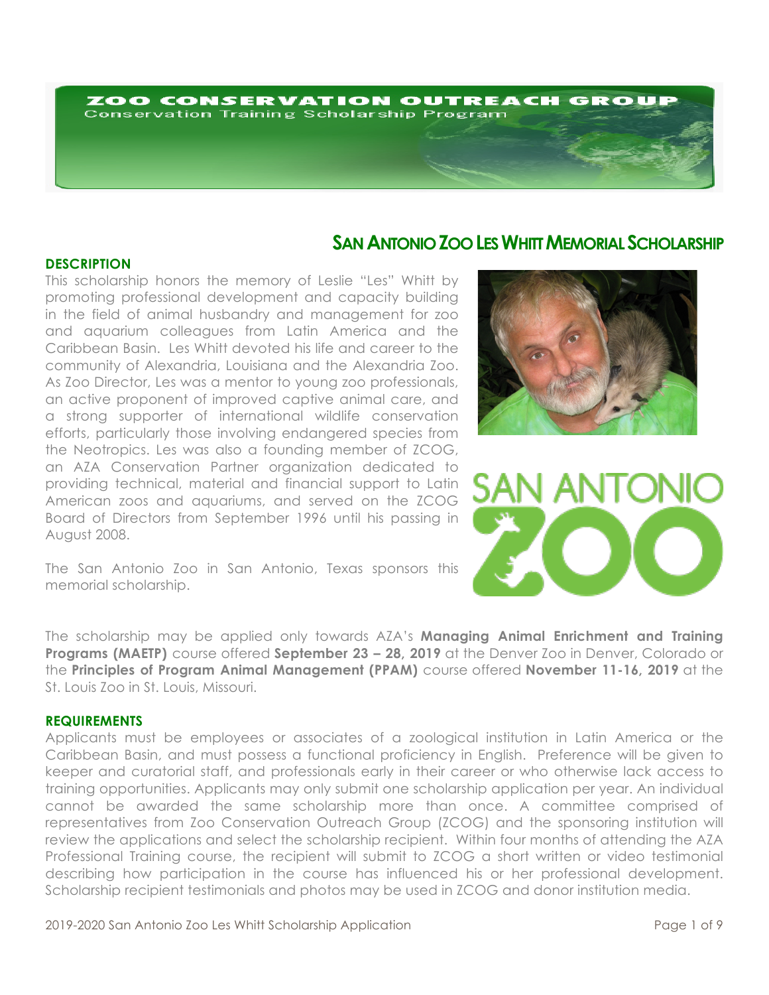# ZOO CONSERVATION OUTREACH GROUP **Conservation Training Scholarship Program**

# **SAN ANTONIO ZOO LES WHITT MEMORIAL SCHOLARSHIP**

## **DESCRIPTION**

This scholarship honors the memory of Leslie "Les" Whitt by promoting professional development and capacity building in the field of animal husbandry and management for zoo and aquarium colleagues from Latin America and the Caribbean Basin. Les Whitt devoted his life and career to the community of Alexandria, Louisiana and the Alexandria Zoo. As Zoo Director, Les was a mentor to young zoo professionals, an active proponent of improved captive animal care, and a strong supporter of international wildlife conservation efforts, particularly those involving endangered species from the Neotropics. Les was also a founding member of ZCOG, an AZA Conservation Partner organization dedicated to providing technical, material and financial support to Latin American zoos and aquariums, and served on the ZCOG Board of Directors from September 1996 until his passing in August 2008.





The San Antonio Zoo in San Antonio, Texas sponsors this memorial scholarship.

The scholarship may be applied only towards AZA's **Managing Animal Enrichment and Training Programs (MAETP)** course offered **September 23 – 28, 2019** at the Denver Zoo in Denver, Colorado or the **Principles of Program Animal Management (PPAM)** course offered **November 11-16, 2019** at the St. Louis Zoo in St. Louis, Missouri.

#### **REQUIREMENTS**

Applicants must be employees or associates of a zoological institution in Latin America or the Caribbean Basin, and must possess a functional proficiency in English. Preference will be given to keeper and curatorial staff, and professionals early in their career or who otherwise lack access to training opportunities. Applicants may only submit one scholarship application per year. An individual cannot be awarded the same scholarship more than once. A committee comprised of representatives from Zoo Conservation Outreach Group (ZCOG) and the sponsoring institution will review the applications and select the scholarship recipient. Within four months of attending the AZA Professional Training course, the recipient will submit to ZCOG a short written or video testimonial describing how participation in the course has influenced his or her professional development. Scholarship recipient testimonials and photos may be used in ZCOG and donor institution media.

2019-2020 San Antonio Zoo Les Whitt Scholarship Application Page 1 of 9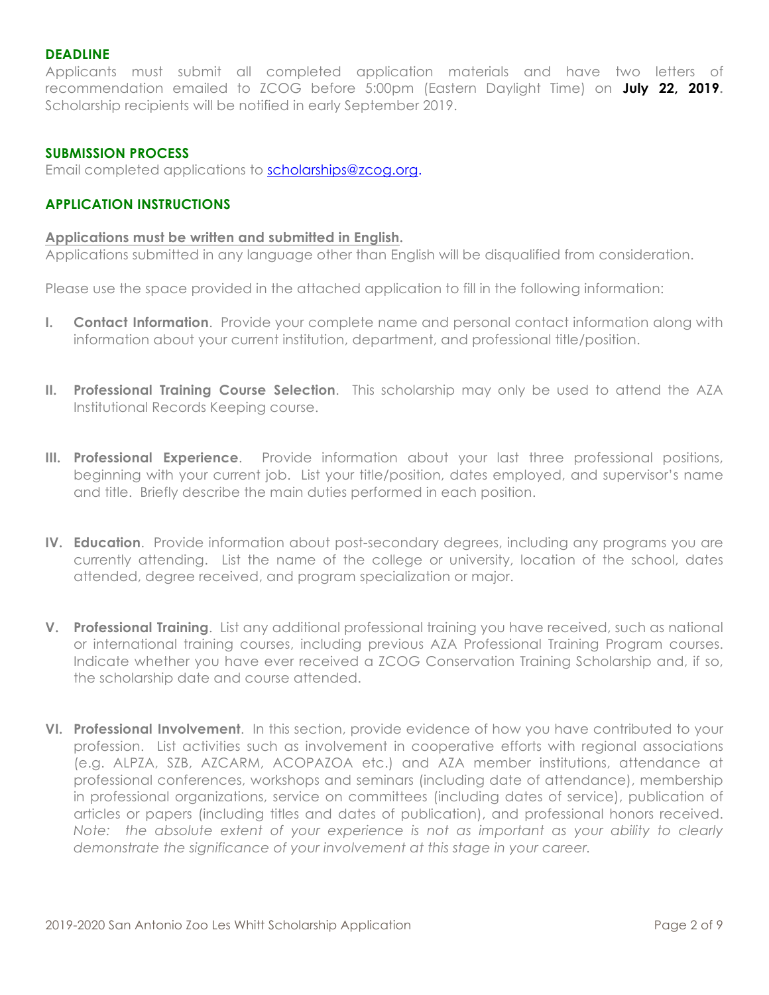# **DEADLINE**

Applicants must submit all completed application materials and have two letters of recommendation emailed to ZCOG before 5:00pm (Eastern Daylight Time) on **July 22, 2019.** Scholarship recipients will be notified in early September 2019.

# **SUBMISSION PROCESS**

Email completed applications to scholarships@zcog.org.

## **APPLICATION INSTRUCTIONS**

#### **Applications must be written and submitted in English.**

Applications submitted in any language other than English will be disqualified from consideration.

Please use the space provided in the attached application to fill in the following information:

- **I. Contact Information**. Provide your complete name and personal contact information along with information about your current institution, department, and professional title/position.
- **II. Professional Training Course Selection**. This scholarship may only be used to attend the AZA Institutional Records Keeping course.
- **III. Professional Experience**. Provide information about your last three professional positions, beginning with your current job. List your title/position, dates employed, and supervisor's name and title. Briefly describe the main duties performed in each position.
- **IV. Education**. Provide information about post-secondary degrees, including any programs you are currently attending. List the name of the college or university, location of the school, dates attended, degree received, and program specialization or major.
- **V. Professional Training**. List any additional professional training you have received, such as national or international training courses, including previous AZA Professional Training Program courses. Indicate whether you have ever received a ZCOG Conservation Training Scholarship and, if so, the scholarship date and course attended.
- **VI. Professional Involvement**. In this section, provide evidence of how you have contributed to your profession. List activities such as involvement in cooperative efforts with regional associations (e.g. ALPZA, SZB, AZCARM, ACOPAZOA etc.) and AZA member institutions, attendance at professional conferences, workshops and seminars (including date of attendance), membership in professional organizations, service on committees (including dates of service), publication of articles or papers (including titles and dates of publication), and professional honors received. *Note: the absolute extent of your experience is not as important as your ability to clearly demonstrate the significance of your involvement at this stage in your career.*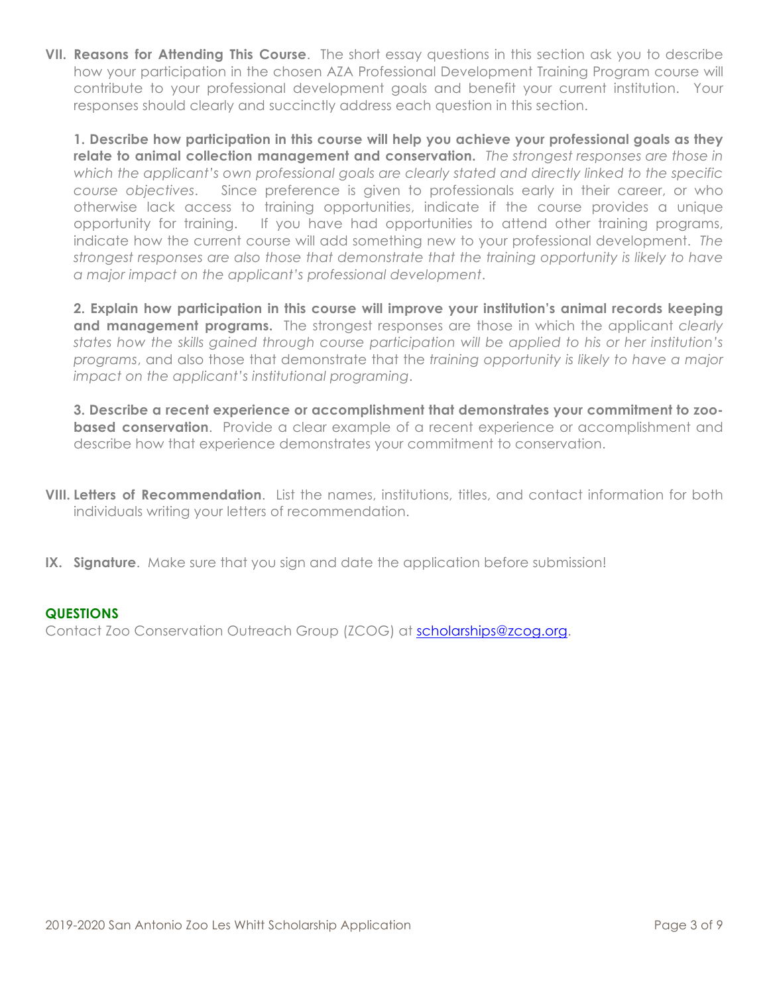**VII. Reasons for Attending This Course**. The short essay questions in this section ask you to describe how your participation in the chosen AZA Professional Development Training Program course will contribute to your professional development goals and benefit your current institution. Your responses should clearly and succinctly address each question in this section.

**1. Describe how participation in this course will help you achieve your professional goals as they relate to animal collection management and conservation.** *The strongest responses are those in which the applicant's own professional goals are clearly stated and directly linked to the specific course objectives*. Since preference is given to professionals early in their career, or who otherwise lack access to training opportunities, indicate if the course provides a unique opportunity for training. If you have had opportunities to attend other training programs, indicate how the current course will add something new to your professional development. *The strongest responses are also those that demonstrate that the training opportunity is likely to have a major impact on the applicant's professional development*.

**2. Explain how participation in this course will improve your institution's animal records keeping and management programs.** The strongest responses are those in which the applicant *clearly states how the skills gained through course participation will be applied to his or her institution's programs*, and also those that demonstrate that the *training opportunity is likely to have a major impact on the applicant's institutional programing*.

**3. Describe a recent experience or accomplishment that demonstrates your commitment to zoobased conservation**. Provide a clear example of a recent experience or accomplishment and describe how that experience demonstrates your commitment to conservation.

- **VIII. Letters of Recommendation**. List the names, institutions, titles, and contact information for both individuals writing your letters of recommendation.
- **IX. Signature**. Make sure that you sign and date the application before submission!

# **QUESTIONS**

Contact Zoo Conservation Outreach Group (ZCOG) at scholarships@zcog.org.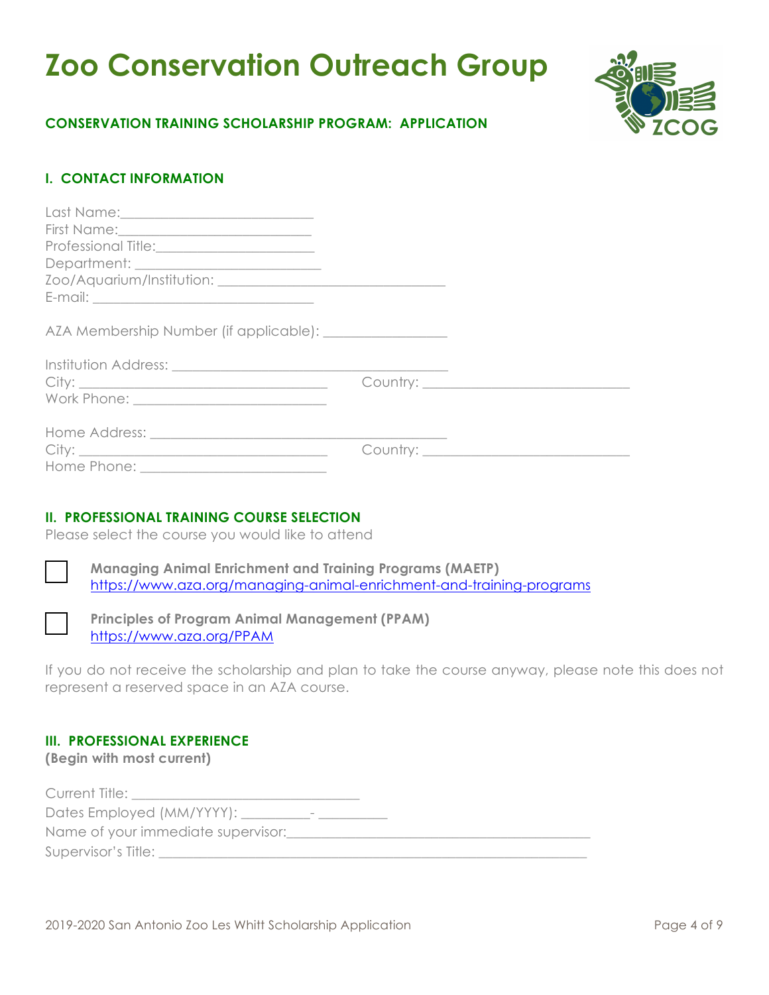# **Zoo Conservation Outreach Group**



# **CONSERVATION TRAINING SCHOLARSHIP PROGRAM: APPLICATION**

# **I. CONTACT INFORMATION**

# **II. PROFESSIONAL TRAINING COURSE SELECTION**

Please select the course you would like to attend

**Managing Animal Enrichment and Training Programs (MAETP)** https://www.aza.org/managing-animal-enrichment-and-training-programs

**Principles of Program Animal Management (PPAM)** https://www.aza.org/PPAM

If you do not receive the scholarship and plan to take the course anyway, please note this does not represent a reserved space in an AZA course.

#### **III. PROFESSIONAL EXPERIENCE**

**(Begin with most current)**

| Current Title:                      |  |
|-------------------------------------|--|
| Dates Employed (MM/YYYY): _<br>$\,$ |  |
| Name of your immediate supervisor:  |  |
| Supervisor's Title:                 |  |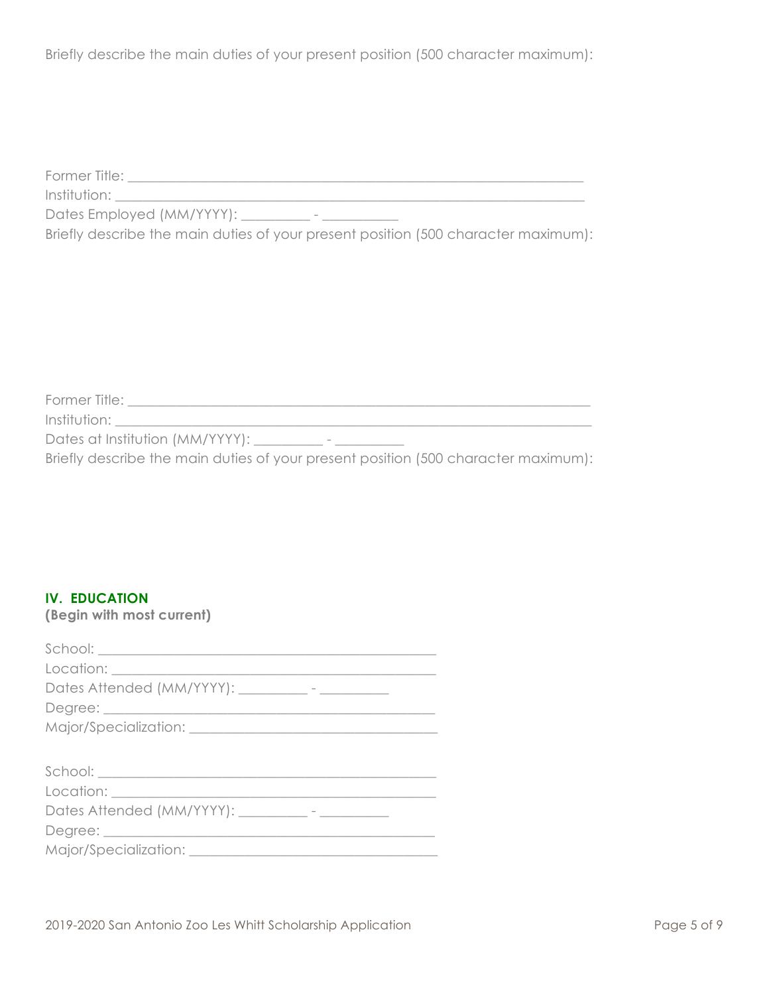Briefly describe the main duties of your present position (500 character maximum):

Former Title: \_\_\_\_\_\_\_\_\_\_\_\_\_\_\_\_\_\_\_\_\_\_\_\_\_\_\_\_\_\_\_\_\_\_\_\_\_\_\_\_\_\_\_\_\_\_\_\_\_\_\_\_\_\_\_\_\_\_\_\_\_\_\_\_\_\_

Institution: \_\_\_\_\_\_\_\_\_\_\_\_\_\_\_\_\_\_\_\_\_\_\_\_\_\_\_\_\_\_\_\_\_\_\_\_\_\_\_\_\_\_\_\_\_\_\_\_\_\_\_\_\_\_\_\_\_\_\_\_\_\_\_\_\_\_\_\_

Dates Employed (MM/YYYY):

Briefly describe the main duties of your present position (500 character maximum):

| Former Title:                                                                      |
|------------------------------------------------------------------------------------|
| Institution:                                                                       |
| Dates at Institution (MM/YYYY):<br>$\,$                                            |
| Briefly describe the main duties of your present position (500 character maximum): |

# **IV. EDUCATION**

**(Begin with most current)**

| $\textsf{School:}\footnotesize\begin{picture}(10,10) \put(0,0){\vector(1,0){100}} \put(15,0){\vector(1,0){100}} \put(15,0){\vector(1,0){100}} \put(15,0){\vector(1,0){100}} \put(15,0){\vector(1,0){100}} \put(15,0){\vector(1,0){100}} \put(15,0){\vector(1,0){100}} \put(15,0){\vector(1,0){100}} \put(15,0){\vector(1,0){100}} \put(15,0){\vector(1,0){100}} \put(15,0){\vector$ |
|-------------------------------------------------------------------------------------------------------------------------------------------------------------------------------------------------------------------------------------------------------------------------------------------------------------------------------------------------------------------------------------|
|                                                                                                                                                                                                                                                                                                                                                                                     |
| Dates Attended (MM/YYYY): __________- - __________                                                                                                                                                                                                                                                                                                                                  |
|                                                                                                                                                                                                                                                                                                                                                                                     |
|                                                                                                                                                                                                                                                                                                                                                                                     |
|                                                                                                                                                                                                                                                                                                                                                                                     |
|                                                                                                                                                                                                                                                                                                                                                                                     |
|                                                                                                                                                                                                                                                                                                                                                                                     |
| Dates Attended (MM/YYYY): __________- - __________                                                                                                                                                                                                                                                                                                                                  |
|                                                                                                                                                                                                                                                                                                                                                                                     |
|                                                                                                                                                                                                                                                                                                                                                                                     |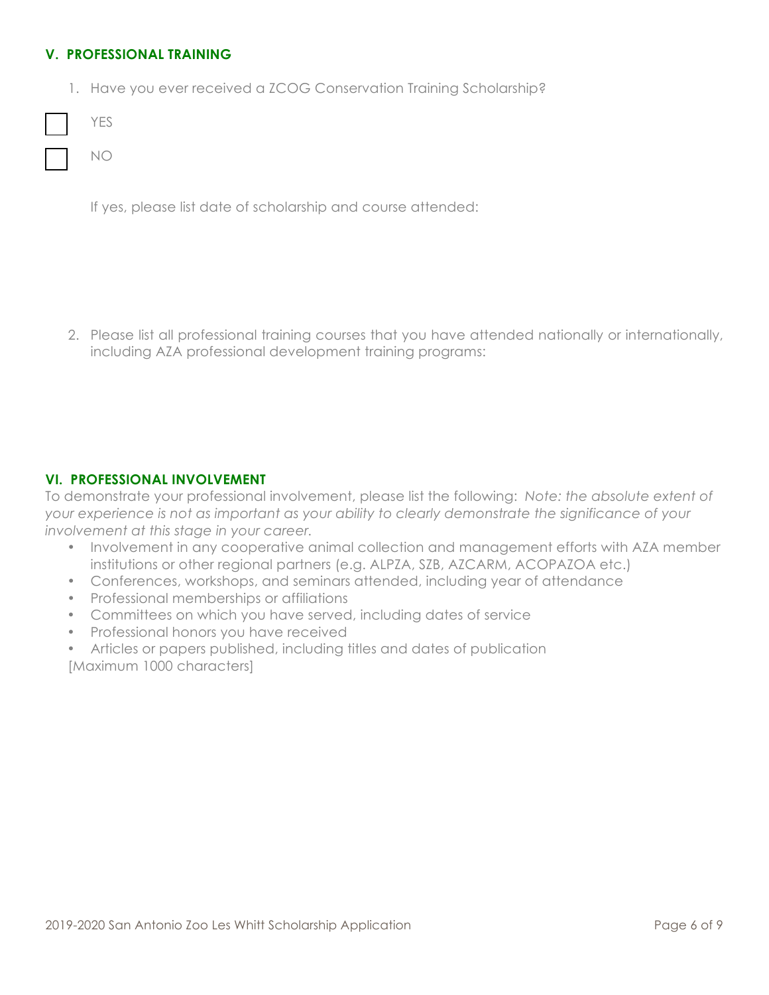# **V. PROFESSIONAL TRAINING**

1. Have you ever received a ZCOG Conservation Training Scholarship?

NO

If yes, please list date of scholarship and course attended:

2. Please list all professional training courses that you have attended nationally or internationally, including AZA professional development training programs:

# **VI. PROFESSIONAL INVOLVEMENT**

To demonstrate your professional involvement, please list the following: *Note: the absolute extent of your experience is not as important as your ability to clearly demonstrate the significance of your involvement at this stage in your career.* 

- Involvement in any cooperative animal collection and management efforts with AZA member institutions or other regional partners (e.g. ALPZA, SZB, AZCARM, ACOPAZOA etc.)
- Conferences, workshops, and seminars attended, including year of attendance
- Professional memberships or affiliations
- Committees on which you have served, including dates of service
- Professional honors you have received
- Articles or papers published, including titles and dates of publication [Maximum 1000 characters]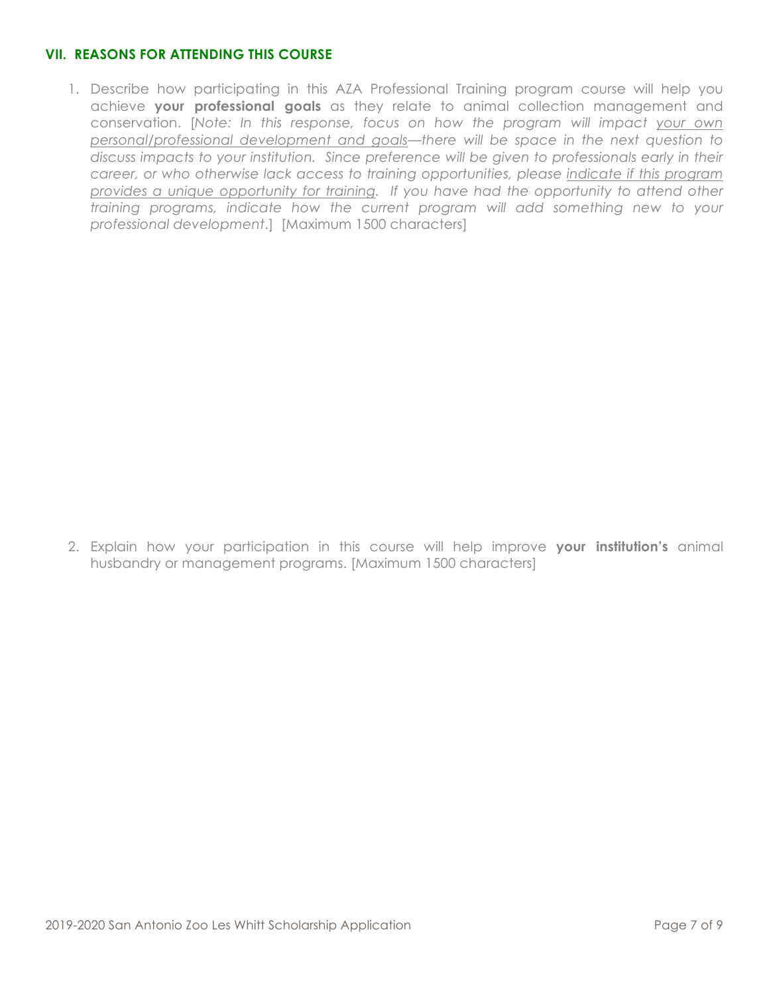# **VII. REASONS FOR ATTENDING THIS COURSE**

1. Describe how participating in this AZA Professional Training program course will help you achieve **your professional goals** as they relate to animal collection management and conservation. [*Note: In this response, focus on how the program will impact your own personal/professional development and goals—there will be space in the next question to discuss impacts to your institution. Since preference will be given to professionals early in their career, or who otherwise lack access to training opportunities, please indicate if this program provides a unique opportunity for training. If you have had the opportunity to attend other training programs, indicate how the current program will add something new to your professional development*.] [Maximum 1500 characters]

2. Explain how your participation in this course will help improve **your institution's** animal husbandry or management programs. [Maximum 1500 characters]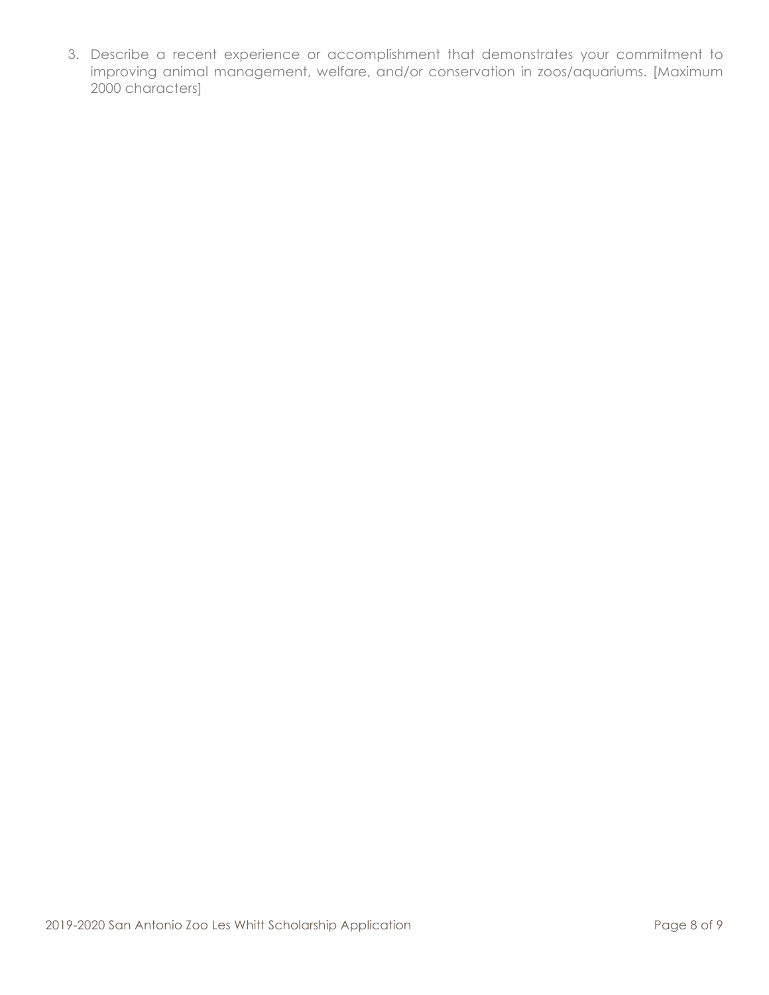3. Describe a recent experience or accomplishment that demonstrates your commitment to improving animal management, welfare, and/or conservation in zoos/aquariums. [Maximum 2000 characters]